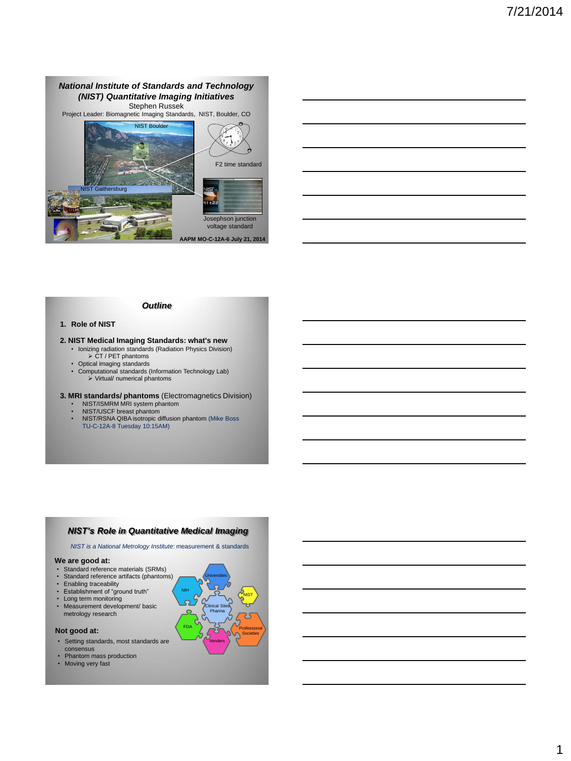



### *Outline*

### **1. Role of NIST**

- **2. NIST Medical Imaging Standards: what's new**  • Ionizing radiation standards (Radiation Physics Division)
	- $\triangleright$  CT / PET phantoms
	-
	- Optical imaging standards Computational standards (Information Technology Lab)  $\triangleright$  Virtual/ numerical phantoms
- **3. MRI standards/ phantoms** (Electromagnetics Division) NIST/ISMRM MRI system phantom
	- NIST/USCF breast phantom
	- NIST/RSNA QIBA isotropic diffusion phantom (Mike Boss TU-C-12A-8 Tuesday 10:15AM)

## *NIST's Role in Quantitative Medical Imaging*

*NIST is a National Metrology Institute*: measurement & standards

### **We are good at:**

- 
- Standard reference materials (SRMs) Standard reference artifacts (phantoms)
- Enabling traceability Establishment of "ground truth"
- 
- Long term monitoring • Measurement development/ basic metrology research
- 

### **Not good at:**

- Setting standards, most standards are consensus
- Phantom mass production
- Moving very fast

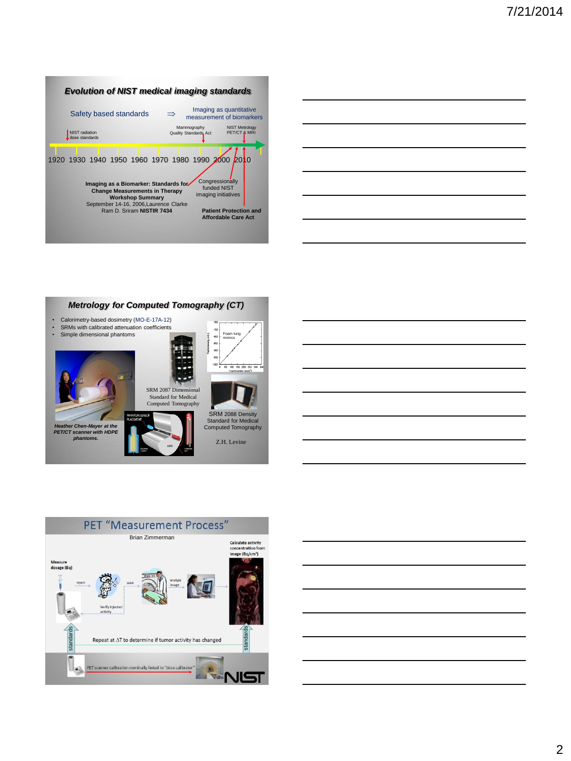

|                                                                                                                       |  | <u> 1989 - Johann Harry Harry Harry Harry Harry Harry Harry Harry Harry Harry Harry Harry Harry Harry Harry Harry</u> |  |
|-----------------------------------------------------------------------------------------------------------------------|--|-----------------------------------------------------------------------------------------------------------------------|--|
| <u> 1989 - Johann Stoff, deutscher Stoff, der Stoff, der Stoff, der Stoff, der Stoff, der Stoff, der Stoff, der S</u> |  |                                                                                                                       |  |
|                                                                                                                       |  | <u> 1989 - Johann Stoff, amerikansk politiker (d. 1989)</u>                                                           |  |
|                                                                                                                       |  | <u> 1989 - Johann Stoff, amerikansk politiker (d. 1989)</u>                                                           |  |
| <u> 1989 - Johann Barbara, martxa alemaniar a</u>                                                                     |  |                                                                                                                       |  |
|                                                                                                                       |  |                                                                                                                       |  |

L,







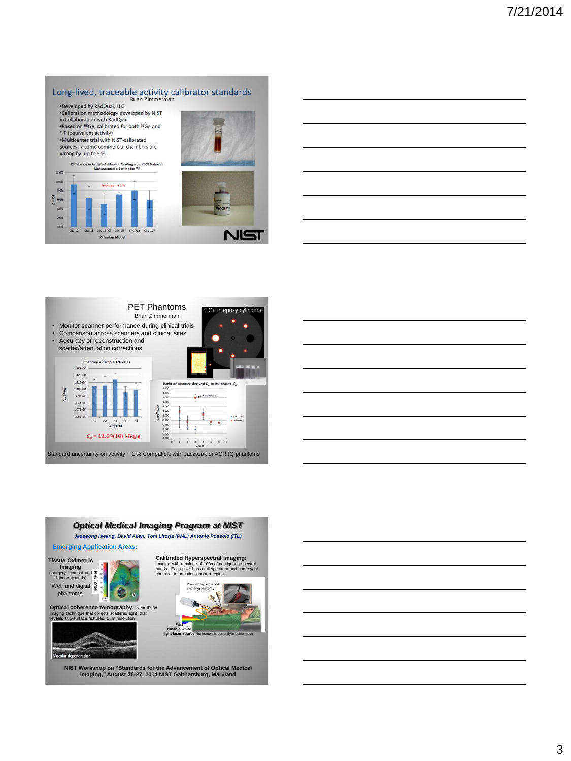







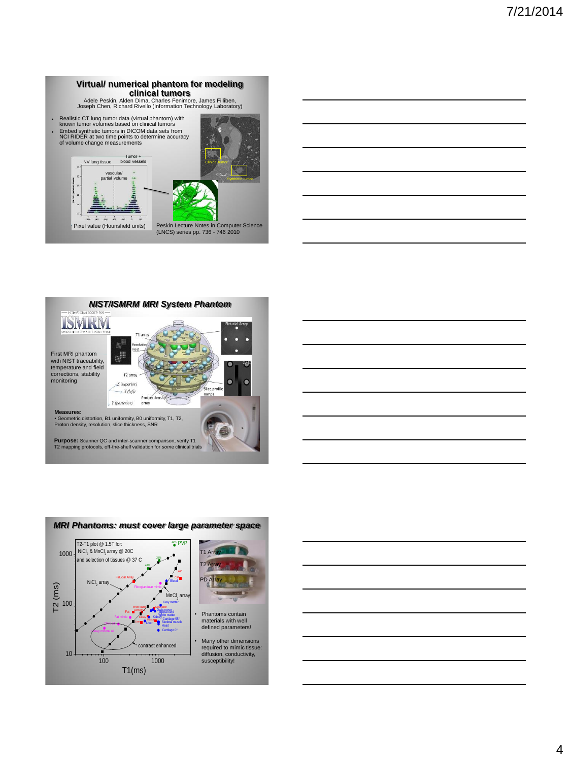









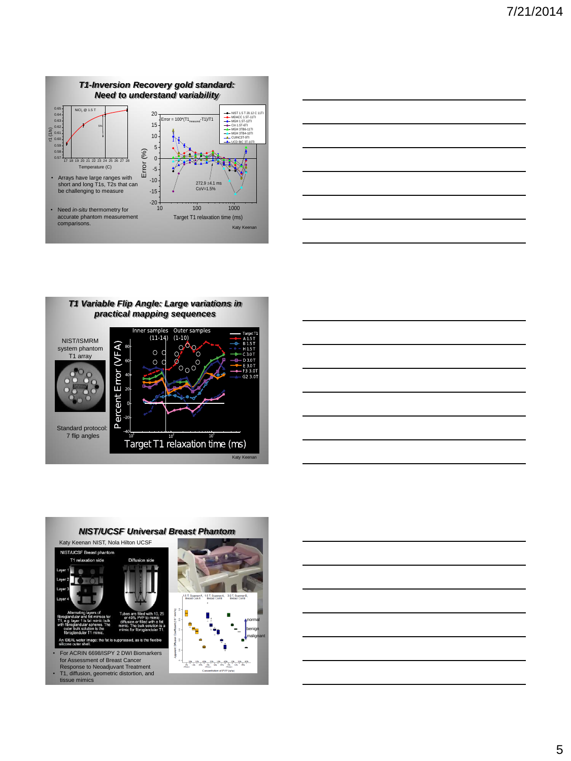

| the contract of the contract of the contract of the contract of the contract of                                      |  | ______                   |
|----------------------------------------------------------------------------------------------------------------------|--|--------------------------|
|                                                                                                                      |  |                          |
|                                                                                                                      |  |                          |
|                                                                                                                      |  |                          |
| <u> 1989 - Johann Barbara, martxa alemaniar arg</u>                                                                  |  |                          |
|                                                                                                                      |  |                          |
|                                                                                                                      |  |                          |
|                                                                                                                      |  |                          |
|                                                                                                                      |  |                          |
| <u> 1989 - Johann Barn, mars et al. (b. 1989)</u>                                                                    |  | $\overline{\phantom{a}}$ |
|                                                                                                                      |  |                          |
|                                                                                                                      |  |                          |
|                                                                                                                      |  |                          |
| <u> 1989 - Johann Barnett, fransk politiker (d. 1989)</u>                                                            |  |                          |
|                                                                                                                      |  |                          |
|                                                                                                                      |  |                          |
|                                                                                                                      |  |                          |
|                                                                                                                      |  |                          |
| <u> Alexandria de la contrada de la contrada de la contrada de la contrada de la contrada de la contrada de la c</u> |  |                          |
|                                                                                                                      |  |                          |
|                                                                                                                      |  |                          |
|                                                                                                                      |  |                          |
| $\frac{1}{1}$                                                                                                        |  |                          |
|                                                                                                                      |  |                          |
|                                                                                                                      |  |                          |
|                                                                                                                      |  |                          |
|                                                                                                                      |  |                          |
|                                                                                                                      |  |                          |

*T1 Variable Flip Angle: Large variations in practical mapping sequences*







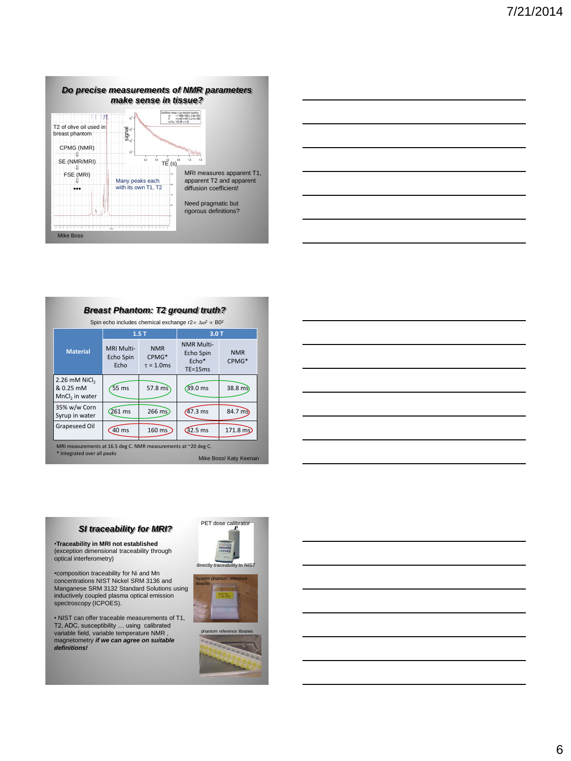

#### MRI Multi-NMR NMR Multi-Echo Spin

*Breast Phantom: T2 ground truth?*

Spin echo includes chemical exchange r2 $\propto \Delta \omega^2 \propto B0^2$ 

**1.5 T 3.0 T**

| <b>Material</b>                                                                                                         | MRI MUITI-<br>Echo Spin<br>Echo | <b>NMK</b><br>CPMG*<br>$\tau = 1.0$ ms | Echo Spin<br>$Echo*$<br>$TE = 15ms$ | <b>NMR</b><br>CPMG* |
|-------------------------------------------------------------------------------------------------------------------------|---------------------------------|----------------------------------------|-------------------------------------|---------------------|
| 2.26 mM NiCl <sub>2</sub><br>& 0.25 mM<br>MnCl <sub>2</sub> in water                                                    | 55 <sub>ms</sub>                | $57.8 \text{ ms}$                      | $(39.0 \text{ ms})$                 | $38.8 \text{ m}$ s  |
| 35% w/w Corn<br>Syrup in water                                                                                          | $261$ ms                        | $266 \text{ ms}$                       | $47.3$ ms                           | 84.7 ms             |
| Grapeseed Oil                                                                                                           | 40 ms                           | 160 ms                                 | $Q$ 2.5 ms                          | $171.8 \text{ ms}$  |
| MRI measurements at 16.5 deg C. NMR measurements at ~20 deg C.<br>* Integrated over all peaks<br>Mike Boss/ Katy Keenan |                                 |                                        |                                     |                     |

# *SI traceability for MRI?*

•**Traceability in MRI not established** (exception dimensional traceability through optical interferometry)

•composition traceability for Ni and Mn concentrations NIST Nickel SRM 3136 and Manganese SRM 3132 Standard Solutions using inductively coupled plasma optical emission spectroscopy (ICPOES).

• NIST can offer traceable measurements of T1, T2, ADC, susceptibility … using calibrated variable field, variable temperature NMR , magnetometry *if we can agree on suitable definitions!*